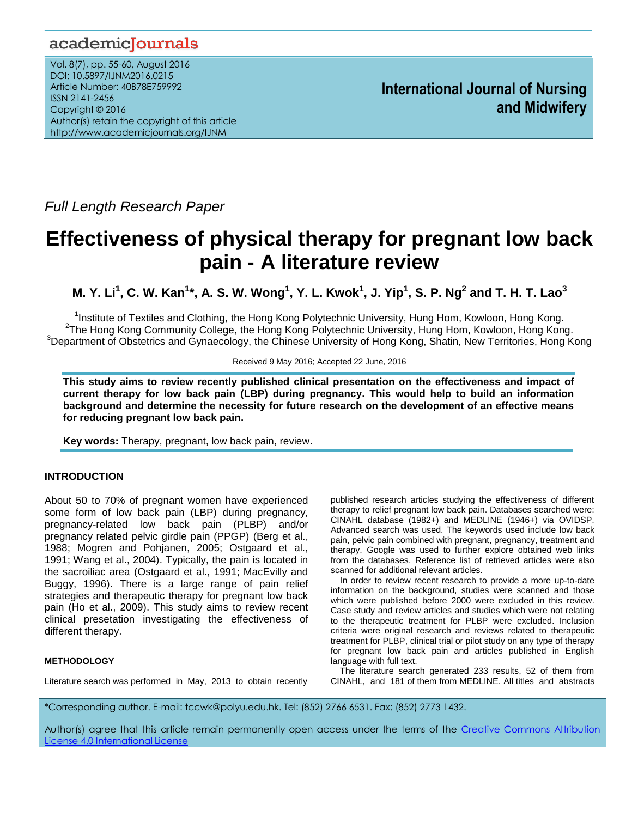## academicJournals

Vol. 8(7), pp. 55-60, August 2016 DOI: 10.5897/IJNM2016.0215 Article Number: 40B78E759992 ISSN 2141-2456 Copyright © 2016 Author(s) retain the copyright of this article http://www.academicjournals.org/IJNM

*Full Length Research Paper* 

# **Effectiveness of physical therapy for pregnant low back pain - A literature review**

M. Y. Li $^1$ , C. W. Kan $^{1\star}$ , A. S. W. Wong $^1$ , Y. L. Kwok $^1$ , J. Yip $^1$ , S. P. Ng $^2$  and T. H. T. Lao $^3$ 

<sup>1</sup>Institute of Textiles and Clothing, the Hong Kong Polytechnic University, Hung Hom, Kowloon, Hong Kong. <sup>2</sup> The Hong Kong Community College, the Hong Kong Polytechnic University, Hung Hom, Kowloon, Hong Kong. <sup>3</sup>Department of Obstetrics and Gynaecology, the Chinese University of Hong Kong, Shatin, New Territories, Hong Kong

Received 9 May 2016; Accepted 22 June, 2016

**This study aims to review recently published clinical presentation on the effectiveness and impact of current therapy for low back pain (LBP) during pregnancy. This would help to build an information background and determine the necessity for future research on the development of an effective means for reducing pregnant low back pain.**

**Key words:** Therapy, pregnant, low back pain, review.

#### **INTRODUCTION**

About 50 to 70% of pregnant women have experienced some form of low back pain (LBP) during pregnancy, pregnancy-related low back pain (PLBP) and/or pregnancy related pelvic girdle pain (PPGP) (Berg et al., 1988; Mogren and Pohjanen, 2005; Ostgaard et al., 1991; Wang et al., 2004). Typically, the pain is located in the sacroiliac area (Ostgaard et al., 1991; MacEvilly and Buggy, 1996). There is a large range of pain relief strategies and therapeutic therapy for pregnant low back pain (Ho et al., 2009). This study aims to review recent clinical presetation investigating the effectiveness of different therapy.

#### **METHODOLOGY**

Literature search was performed in May, 2013 to obtain recently

published research articles studying the effectiveness of different therapy to relief pregnant low back pain. Databases searched were: CINAHL database (1982+) and MEDLINE (1946+) via OVIDSP. Advanced search was used. The keywords used include low back pain, pelvic pain combined with pregnant, pregnancy, treatment and therapy. Google was used to further explore obtained web links from the databases. Reference list of retrieved articles were also scanned for additional relevant articles.

In order to review recent research to provide a more up-to-date information on the background, studies were scanned and those which were published before 2000 were excluded in this review. Case study and review articles and studies which were not relating to the therapeutic treatment for PLBP were excluded. Inclusion criteria were original research and reviews related to therapeutic treatment for PLBP, clinical trial or pilot study on any type of therapy for pregnant low back pain and articles published in English language with full text.

The literature search generated 233 results, 52 of them from CINAHL, and 181 of them from MEDLINE. All titles and abstracts

\*Corresponding author. E-mail: tccwk@polyu.edu.hk. Tel: (852) 2766 6531. Fax: (852) 2773 1432.

Author(s) agree that this article remain permanently open access under the terms of the Creative Commons [Attribution](http://creativecommons.org/licenses/by/4.0/deed.en_US)  License 4.0 [International](http://creativecommons.org/licenses/by/4.0/deed.en_US) License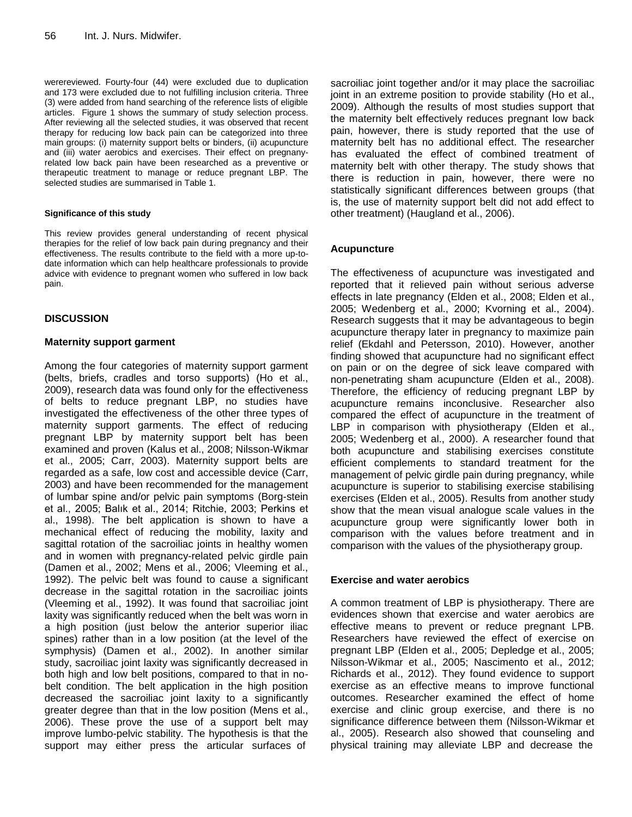werereviewed. Fourty-four (44) were excluded due to duplication and 173 were excluded due to not fulfilling inclusion criteria. Three (3) were added from hand searching of the reference lists of eligible articles. Figure 1 shows the summary of study selection process. After reviewing all the selected studies, it was observed that recent therapy for reducing low back pain can be categorized into three main groups: (i) maternity support belts or binders, (ii) acupuncture and (iii) water aerobics and exercises. Their effect on pregnanyrelated low back pain have been researched as a preventive or therapeutic treatment to manage or reduce pregnant LBP. The selected studies are summarised in Table 1.

#### **Significance of this study**

This review provides general understanding of recent physical therapies for the relief of low back pain during pregnancy and their effectiveness. The results contribute to the field with a more up-todate information which can help healthcare professionals to provide advice with evidence to pregnant women who suffered in low back pain.

#### **DISCUSSION**

#### **Maternity support garment**

Among the four categories of maternity support garment (belts, briefs, cradles and torso supports) (Ho et al., 2009), research data was found only for the effectiveness of belts to reduce pregnant LBP, no studies have investigated the effectiveness of the other three types of maternity support garments. The effect of reducing pregnant LBP by maternity support belt has been examined and proven (Kalus et al., 2008; Nilsson-Wikmar et al., 2005; Carr, 2003). Maternity support belts are regarded as a safe, low cost and accessible device (Carr, 2003) and have been recommended for the management of lumbar spine and/or pelvic pain symptoms (Borg-stein et al., 2005; Balık et al., 2014; Ritchie, 2003; Perkins et al., 1998). The belt application is shown to have a mechanical effect of reducing the mobility, laxity and sagittal rotation of the sacroiliac joints in healthy women and in women with pregnancy-related pelvic girdle pain (Damen et al., 2002; Mens et al., 2006; Vleeming et al., 1992). The pelvic belt was found to cause a significant decrease in the sagittal rotation in the sacroiliac joints (Vleeming et al., 1992). It was found that sacroiliac joint laxity was significantly reduced when the belt was worn in a high position (just below the anterior superior iliac spines) rather than in a low position (at the level of the symphysis) (Damen et al., 2002). In another similar study, sacroiliac joint laxity was significantly decreased in both high and low belt positions, compared to that in nobelt condition. The belt application in the high position decreased the sacroiliac joint laxity to a significantly greater degree than that in the low position (Mens et al., 2006). These prove the use of a support belt may improve lumbo-pelvic stability. The hypothesis is that the support may either press the articular surfaces of

sacroiliac joint together and/or it may place the sacroiliac joint in an extreme position to provide stability (Ho et al., 2009). Although the results of most studies support that the maternity belt effectively reduces pregnant low back pain, however, there is study reported that the use of maternity belt has no additional effect. The researcher has evaluated the effect of combined treatment of maternity belt with other therapy. The study shows that there is reduction in pain, however, there were no statistically significant differences between groups (that is, the use of maternity support belt did not add effect to other treatment) (Haugland et al., 2006).

#### **Acupuncture**

The effectiveness of acupuncture was investigated and reported that it relieved pain without serious adverse effects in late pregnancy (Elden et al., 2008; Elden et al., 2005; Wedenberg et al., 2000; Kvorning et al., 2004). Research suggests that it may be advantageous to begin acupuncture therapy later in pregnancy to maximize pain relief (Ekdahl and Petersson, 2010). However, another finding showed that acupuncture had no significant effect on pain or on the degree of sick leave compared with non-penetrating sham acupuncture (Elden et al., 2008). Therefore, the efficiency of reducing pregnant LBP by acupuncture remains inconclusive. Researcher also compared the effect of acupuncture in the treatment of LBP in comparison with physiotherapy (Elden et al., 2005; Wedenberg et al., 2000). A researcher found that both acupuncture and stabilising exercises constitute efficient complements to standard treatment for the management of pelvic girdle pain during pregnancy, while acupuncture is superior to stabilising exercise stabilising exercises (Elden et al., 2005). Results from another study show that the mean visual analogue scale values in the acupuncture group were significantly lower both in comparison with the values before treatment and in comparison with the values of the physiotherapy group.

#### **Exercise and water aerobics**

A common treatment of LBP is physiotherapy. There are evidences shown that exercise and water aerobics are effective means to prevent or reduce pregnant LPB. Researchers have reviewed the effect of exercise on pregnant LBP (Elden et al., 2005; Depledge et al., 2005; Nilsson-Wikmar et al., 2005; Nascimento et al., 2012; Richards et al., 2012). They found evidence to support exercise as an effective means to improve functional outcomes. Researcher examined the effect of home exercise and clinic group exercise, and there is no significance difference between them (Nilsson-Wikmar et al., 2005). Research also showed that counseling and physical training may alleviate LBP and decrease the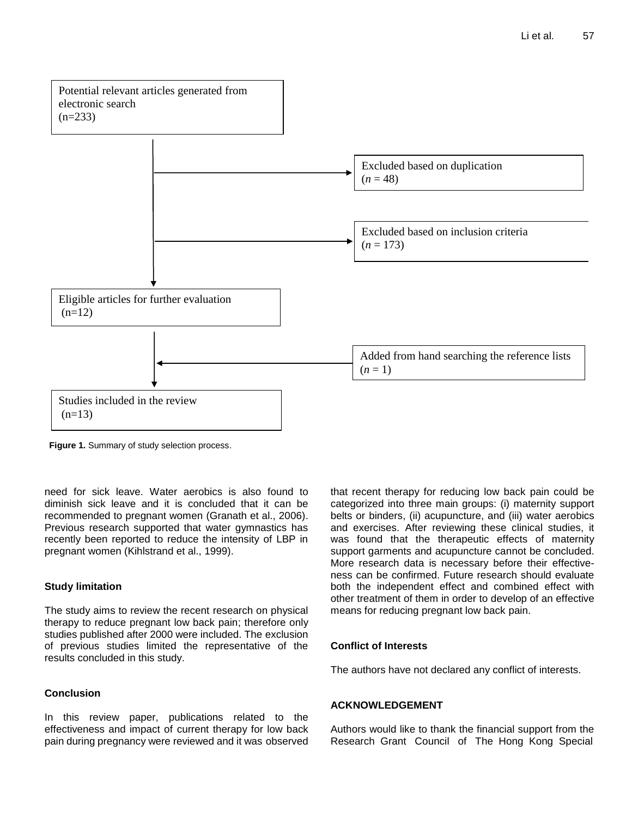

**Figure 1.** Summary of study selection process.

need for sick leave. Water aerobics is also found to diminish sick leave and it is concluded that it can be recommended to pregnant women (Granath et al., 2006). Previous research supported that water gymnastics has recently been reported to reduce the intensity of LBP in pregnant women (Kihlstrand et al., 1999).

#### **Study limitation**

The study aims to review the recent research on physical therapy to reduce pregnant low back pain; therefore only studies published after 2000 were included. The exclusion of previous studies limited the representative of the results concluded in this study.

### **Conclusion**

In this review paper, publications related to the effectiveness and impact of current therapy for low back pain during pregnancy were reviewed and it was observed

that recent therapy for reducing low back pain could be categorized into three main groups: (i) maternity support belts or binders, (ii) acupuncture, and (iii) water aerobics and exercises. After reviewing these clinical studies, it was found that the therapeutic effects of maternity support garments and acupuncture cannot be concluded. More research data is necessary before their effectiveness can be confirmed. Future research should evaluate both the independent effect and combined effect with other treatment of them in order to develop of an effective means for reducing pregnant low back pain.

#### **Conflict of Interests**

The authors have not declared any conflict of interests.

#### **ACKNOWLEDGEMENT**

Authors would like to thank the financial support from the Research Grant Council of The Hong Kong Special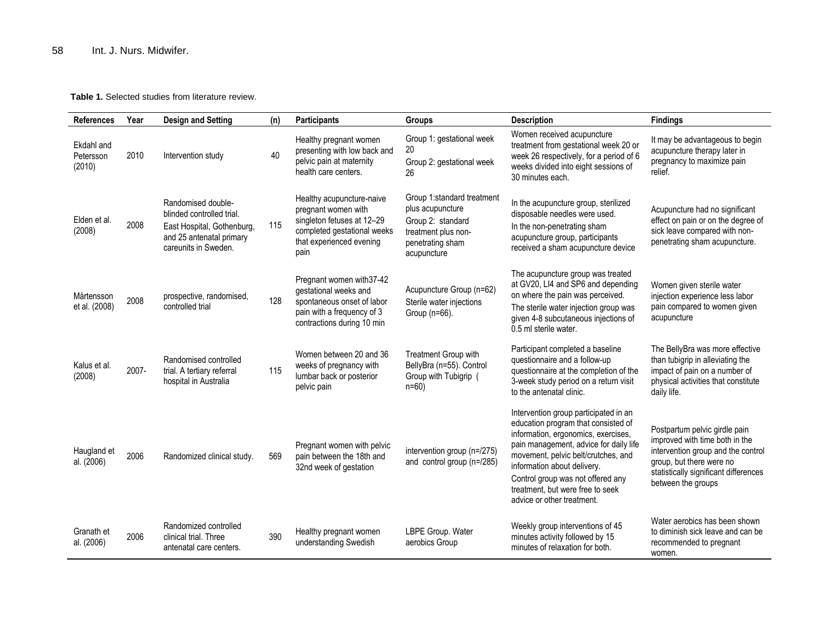#### **Table 1.** Selected studies from literature review.

| <b>References</b>                 | Year  | <b>Design and Setting</b>                                                                                                         | (n) | <b>Participants</b>                                                                                                                               | <b>Groups</b>                                                                                                                 | <b>Description</b>                                                                                                                                                                                                                                                                                                                         | <b>Findings</b>                                                                                                                                                                                  |
|-----------------------------------|-------|-----------------------------------------------------------------------------------------------------------------------------------|-----|---------------------------------------------------------------------------------------------------------------------------------------------------|-------------------------------------------------------------------------------------------------------------------------------|--------------------------------------------------------------------------------------------------------------------------------------------------------------------------------------------------------------------------------------------------------------------------------------------------------------------------------------------|--------------------------------------------------------------------------------------------------------------------------------------------------------------------------------------------------|
| Ekdahl and<br>Petersson<br>(2010) | 2010  | Intervention study                                                                                                                | 40  | Healthy pregnant women<br>presenting with low back and<br>pelvic pain at maternity<br>health care centers.                                        | Group 1: gestational week<br>20.<br>Group 2: gestational week<br>26.                                                          | Women received acupuncture<br>treatment from gestational week 20 or<br>week 26 respectively, for a period of 6<br>weeks divided into eight sessions of<br>30 minutes each.                                                                                                                                                                 | It may be advantageous to begin<br>acupuncture therapy later in<br>pregnancy to maximize pain<br>relief.                                                                                         |
| Elden et al.<br>(2008)            | 2008  | Randomised double-<br>blinded controlled trial.<br>East Hospital, Gothenburg,<br>and 25 antenatal primary<br>careunits in Sweden. | 115 | Healthy acupuncture-naive<br>pregnant women with<br>singleton fetuses at 12-29<br>completed gestational weeks<br>that experienced evening<br>pain | Group 1:standard treatment<br>plus acupuncture<br>Group 2: standard<br>treatment plus non-<br>penetrating sham<br>acupuncture | In the acupuncture group, sterilized<br>disposable needles were used.<br>In the non-penetrating sham<br>acupuncture group, participants<br>received a sham acupuncture device                                                                                                                                                              | Acupuncture had no significant<br>effect on pain or on the degree of<br>sick leave compared with non-<br>penetrating sham acupuncture.                                                           |
| Mårtensson<br>et al. (2008)       | 2008  | prospective, randomised,<br>controlled trial                                                                                      | 128 | Pregnant women with 37-42<br>gestational weeks and<br>spontaneous onset of labor<br>pain with a frequency of 3<br>contractions during 10 min      | Acupuncture Group (n=62)<br>Sterile water injections<br>Group (n=66).                                                         | The acupuncture group was treated<br>at GV20, LI4 and SP6 and depending<br>on where the pain was perceived.<br>The sterile water injection group was<br>given 4-8 subcutaneous injections of<br>0.5 ml sterile water.                                                                                                                      | Women given sterile water<br>injection experience less labor<br>pain compared to women given<br>acupuncture                                                                                      |
| Kalus et al.<br>(2008)            | 2007- | Randomised controlled<br>trial. A tertiary referral<br>hospital in Australia                                                      | 115 | Women between 20 and 36<br>weeks of pregnancy with<br>lumbar back or posterior<br>pelvic pain                                                     | Treatment Group with<br>BellyBra (n=55). Control<br>Group with Tubigrip (<br>$n=60$ )                                         | Participant completed a baseline<br>questionnaire and a follow-up<br>questionnaire at the completion of the<br>3-week study period on a return visit<br>to the antenatal clinic.                                                                                                                                                           | The BellyBra was more effective<br>than tubigrip in alleviating the<br>impact of pain on a number of<br>physical activities that constitute<br>daily life.                                       |
| Haugland et<br>al. (2006)         | 2006  | Randomized clinical study.                                                                                                        | 569 | Pregnant women with pelvic<br>pain between the 18th and<br>32nd week of gestation                                                                 | intervention group (n=/275)<br>and control group (n=/285)                                                                     | Intervention group participated in an<br>education program that consisted of<br>information, ergonomics, exercises,<br>pain management, advice for daily life<br>movement, pelvic belt/crutches, and<br>information about delivery.<br>Control group was not offered any<br>treatment, but were free to seek<br>advice or other treatment. | Postpartum pelvic girdle pain<br>improved with time both in the<br>intervention group and the control<br>group, but there were no<br>statistically significant differences<br>between the groups |
| Granath et<br>al. (2006)          | 2006  | Randomized controlled<br>clinical trial. Three<br>antenatal care centers.                                                         | 390 | Healthy pregnant women<br>understanding Swedish                                                                                                   | LBPE Group. Water<br>aerobics Group                                                                                           | Weekly group interventions of 45<br>minutes activity followed by 15<br>minutes of relaxation for both.                                                                                                                                                                                                                                     | Water aerobics has been shown<br>to diminish sick leave and can be<br>recommended to pregnant<br>women.                                                                                          |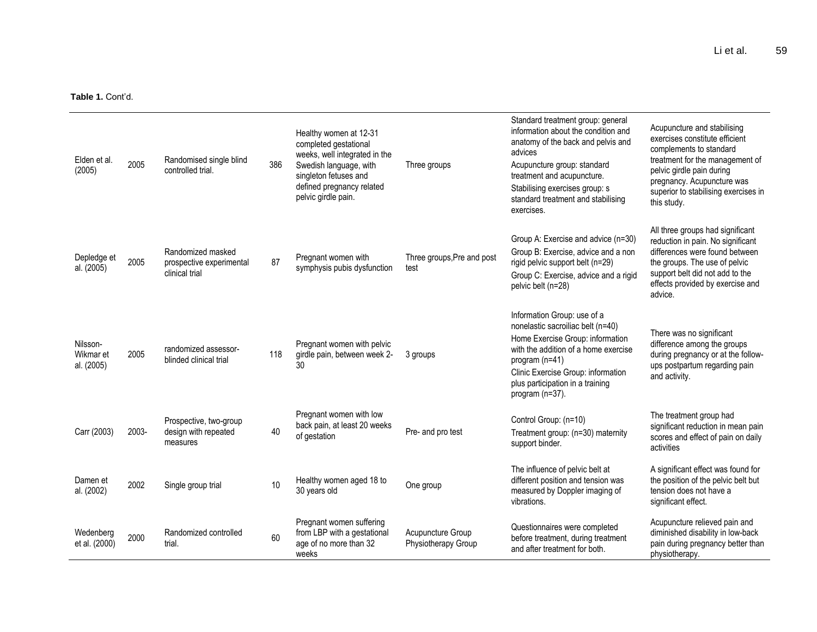### Table 1. Cont'd.

| Elden et al.<br>(2005)              | 2005  | Randomised single blind<br>controlled trial.                    | 386 | Healthy women at 12-31<br>completed gestational<br>weeks, well integrated in the<br>Swedish language, with<br>singleton fetuses and<br>defined pregnancy related<br>pelvic girdle pain. | Three groups                             | Standard treatment group: general<br>information about the condition and<br>anatomy of the back and pelvis and<br>advices<br>Acupuncture group: standard<br>treatment and acupuncture.<br>Stabilising exercises group: s<br>standard treatment and stabilising<br>exercises. | Acupuncture and stabilising<br>exercises constitute efficient<br>complements to standard<br>treatment for the management of<br>pelvic girdle pain during<br>pregnancy. Acupuncture was<br>superior to stabilising exercises in<br>this study. |
|-------------------------------------|-------|-----------------------------------------------------------------|-----|-----------------------------------------------------------------------------------------------------------------------------------------------------------------------------------------|------------------------------------------|------------------------------------------------------------------------------------------------------------------------------------------------------------------------------------------------------------------------------------------------------------------------------|-----------------------------------------------------------------------------------------------------------------------------------------------------------------------------------------------------------------------------------------------|
| Depledge et<br>al. (2005)           | 2005  | Randomized masked<br>prospective experimental<br>clinical trial | 87  | Pregnant women with<br>symphysis pubis dysfunction                                                                                                                                      | Three groups, Pre and post<br>test       | Group A: Exercise and advice (n=30)<br>Group B: Exercise, advice and a non<br>rigid pelvic support belt (n=29)<br>Group C: Exercise, advice and a rigid<br>pelvic belt (n=28)                                                                                                | All three groups had significant<br>reduction in pain. No significant<br>differences were found between<br>the groups. The use of pelvic<br>support belt did not add to the<br>effects provided by exercise and<br>advice.                    |
| Nilsson-<br>Wikmar et<br>al. (2005) | 2005  | randomized assessor-<br>blinded clinical trial                  | 118 | Pregnant women with pelvic<br>girdle pain, between week 2-<br>30                                                                                                                        | 3 groups                                 | Information Group: use of a<br>nonelastic sacroiliac belt (n=40)<br>Home Exercise Group: information<br>with the addition of a home exercise<br>program $(n=41)$<br>Clinic Exercise Group: information<br>plus participation in a training<br>program (n=37).                | There was no significant<br>difference among the groups<br>during pregnancy or at the follow-<br>ups postpartum regarding pain<br>and activity.                                                                                               |
| Carr (2003)                         | 2003- | Prospective, two-group<br>design with repeated<br>measures      | 40  | Pregnant women with low<br>back pain, at least 20 weeks<br>of gestation                                                                                                                 | Pre- and pro test                        | Control Group: (n=10)<br>Treatment group: (n=30) maternity<br>support binder.                                                                                                                                                                                                | The treatment group had<br>significant reduction in mean pain<br>scores and effect of pain on daily<br>activities                                                                                                                             |
| Damen et<br>al. (2002)              | 2002  | Single group trial                                              | 10  | Healthy women aged 18 to<br>30 years old                                                                                                                                                | One group                                | The influence of pelvic belt at<br>different position and tension was<br>measured by Doppler imaging of<br>vibrations.                                                                                                                                                       | A significant effect was found for<br>the position of the pelvic belt but<br>tension does not have a<br>significant effect.                                                                                                                   |
| Wedenberg<br>et al. (2000)          | 2000  | Randomized controlled<br>trial.                                 | 60  | Pregnant women suffering<br>from LBP with a gestational<br>age of no more than 32<br>weeks                                                                                              | Acupuncture Group<br>Physiotherapy Group | Questionnaires were completed<br>before treatment, during treatment<br>and after treatment for both.                                                                                                                                                                         | Acupuncture relieved pain and<br>diminished disability in low-back<br>pain during pregnancy better than<br>physiotherapy.                                                                                                                     |